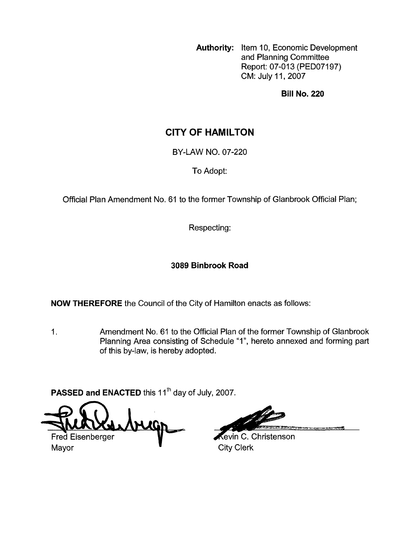**Authority:** Item 10, Economic Development and Planning Committee Report: 07-013 (PED07197) CM: July 11,2007

**Bill No. 220** 

# **CITY OF HAMILTON**

BY-LAW NO. 07-220

To Adopt:

Official Plan Amendment No. 61 to the former Township of Glanbrook Official Plan;

Respecting:

### **3089 Binbrook Road**

**NOW THEREFORE** the Council of the City of Hamilton enacts as follows:

1. Amendment No. 61 to the Official Plan of the former Township of Glanbrook Planning Area consisting of Schedule "I", hereto annexed and forming part of this by-law, is hereby adopted.

PASSED and ENACTED this 11<sup>th</sup> day of July, 2007.

Fred Eisenberger

Mayor **City Clerk Mayor** 

**Revin C. Christenson**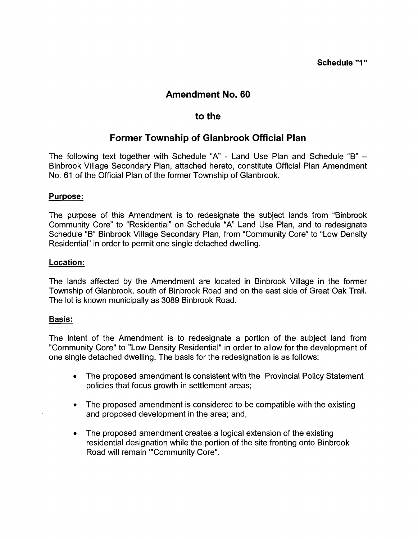## **Amendment No. 60**

## **to the**

# **Former Township of Glanbrook Official Plan**

The following text together with Schedule "A' - Land Use Plan and Schedule "B" - Binbrook Village Secondary Plan, attached hereto, constitute Official Plan Amendment No. 61 of the Official Plan of the former Township of Glanbrook.

### **Purpose:**

The purpose of this Amendment is to redesignate the subject lands from "Binbrook Community Core" to "Residential" on Schedule "A" Land Use Plan, and to redesignate Schedule "B" Binbrook Village Secondary Plan, from "Community Core" to "Low Density Residential" in order to permit one single detached dwelling.

#### **Location:**

The lands affected by the Amendment are located in Binbrook Village in the former Township of Glanbrook, south of Binbrook Road and on the east side of Great Oak Trail. The lot is known municipally as 3089 Binbrook Road.

### **Basis:**

The intent of the Amendment is to redesignate a portion of the subject land from "Community Core" to "Low Density Residential" in order to allow for the development of one single detached dwelling. The basis for the redesignation is as follows:

- The proposed amendment is consistent with the Provincial Policy Statement policies that focus growth in settlement areas;
- The proposed amendment is considered to be compatible with the existing and proposed development in the area; and,
- The proposed amendment creates a logical extension of the existing residential designation while the portion of the site fronting onto Binbrook Road will remain "'Community Core".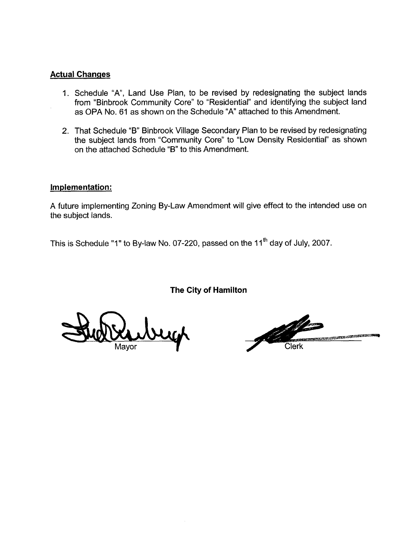#### **Actual Changes**

- 1. Schedule "A", Land Use Plan, to be revised by redesignating the subject lands from "Binbrook Community Core" to "Residential" and identifying the subject land as OPA No. 61 as shown on the Schedule "A" attached to this Amendment.
- 2. That Schedule "B" Binbrook Village Secondary Plan to be revised by redesignating the subject lands from "Community Core" to "Low Density Residential" as shown on the attached Schedule "B" to this Amendment.

#### **Implementation:**

A future implementing Zoning By-Law Amendment will give effect to the intended use on the subject lands.

This is Schedule "1" to By-law No. 07-220, passed on the 11<sup>th</sup> day of July, 2007.

**The City of Hamilton** 

Mavor

ale dia tanàna amin'ny faritr'i Normala ao amin'ny faritr'i Normala.<br>Ny INSEE dia mampiasa ny kaodim-paositra 2008–2014. Ilay kaominina dia kaominina mpikambana amin'ny fivondronan **Clerk**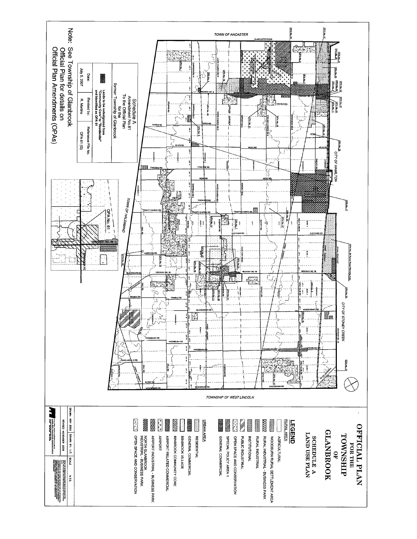